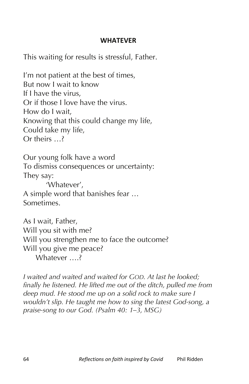## **WHATEVER**

This waiting for results is stressful, Father.

I'm not patient at the best of times, But now I wait to know If I have the virus, Or if those I love have the virus. How do I wait, Knowing that this could change my life, Could take my life, Or theirs …?

Our young folk have a word To dismiss consequences or uncertainty: They say: 'Whatever', A simple word that banishes fear … Sometimes.

As I wait, Father, Will you sit with me? Will you strengthen me to face the outcome? Will you give me peace? Whatever ....?

*I waited and waited and waited for GOD. At last he looked; finally he listened. He lifted me out of the ditch, pulled me from deep mud. He stood me up on a solid rock to make sure I wouldn't slip. He taught me how to sing the latest God-song, a praise-song to our God. (Psalm 40: 1–3, MSG)*